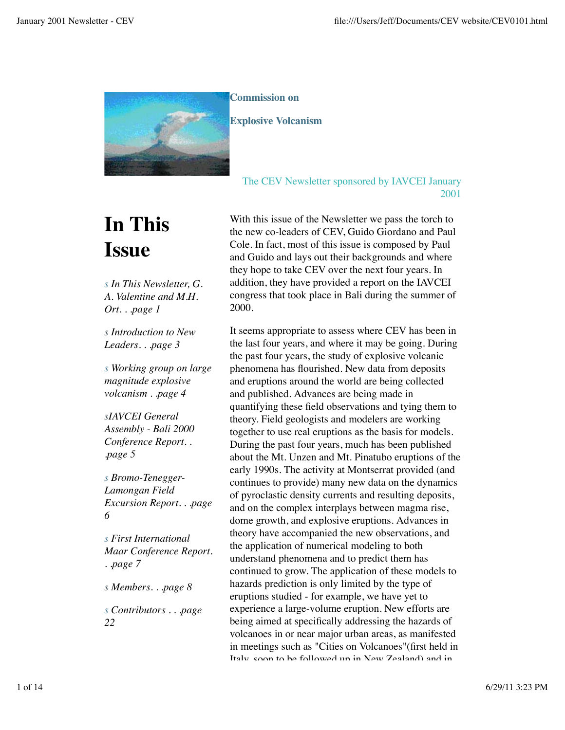

**Commission on** 

**Explosive Volcanism**

# The CEV Newsletter sponsored by IAVCEI January 2001

# **In This Issue**

*s In This Newsletter, G. A. Valentine and M.H. Ort. . .page 1*

*s Introduction to New Leaders. . .page 3*

*s Working group on large magnitude explosive volcanism . .page 4*

*sIAVCEI General Assembly - Bali 2000 Conference Report. . .page 5*

*s Bromo-Tenegger-Lamongan Field Excursion Report. . .page 6*

*s First International Maar Conference Report. . .page 7*

*s Members. . .page 8*

*s Contributors . . .page 22*

With this issue of the Newsletter we pass the torch to the new co-leaders of CEV, Guido Giordano and Paul Cole. In fact, most of this issue is composed by Paul and Guido and lays out their backgrounds and where they hope to take CEV over the next four years. In addition, they have provided a report on the IAVCEI congress that took place in Bali during the summer of 2000.

It seems appropriate to assess where CEV has been in the last four years, and where it may be going. During the past four years, the study of explosive volcanic phenomena has flourished. New data from deposits and eruptions around the world are being collected and published. Advances are being made in quantifying these field observations and tying them to theory. Field geologists and modelers are working together to use real eruptions as the basis for models. During the past four years, much has been published about the Mt. Unzen and Mt. Pinatubo eruptions of the early 1990s. The activity at Montserrat provided (and continues to provide) many new data on the dynamics of pyroclastic density currents and resulting deposits, and on the complex interplays between magma rise, dome growth, and explosive eruptions. Advances in theory have accompanied the new observations, and the application of numerical modeling to both understand phenomena and to predict them has continued to grow. The application of these models to hazards prediction is only limited by the type of eruptions studied - for example, we have yet to experience a large-volume eruption. New efforts are being aimed at specifically addressing the hazards of volcanoes in or near major urban areas, as manifested in meetings such as "Cities on Volcanoes"(first held in Italy, soon to be followed up in New Zealand) and in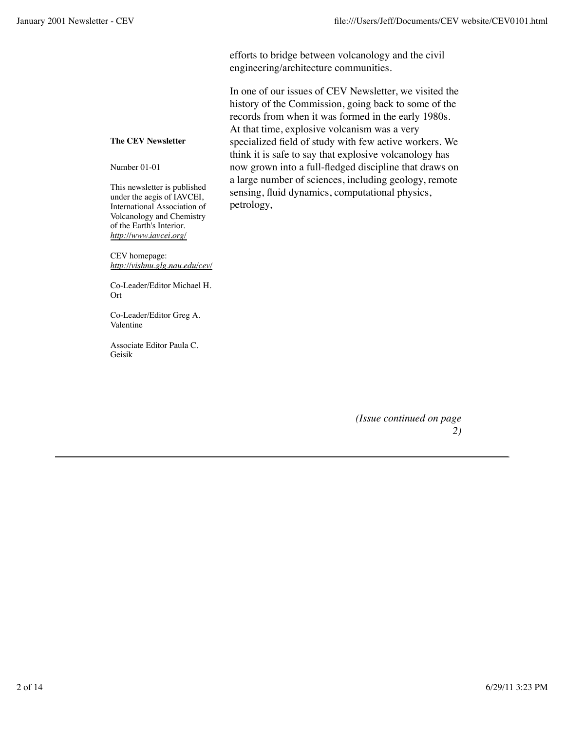efforts to bridge between volcanology and the civil engineering/architecture communities.

In one of our issues of CEV Newsletter, we visited the history of the Commission, going back to some of the records from when it was formed in the early 1980s. At that time, explosive volcanism was a very specialized field of study with few active workers. We think it is safe to say that explosive volcanology has now grown into a full-fledged discipline that draws on a large number of sciences, including geology, remote sensing, fluid dynamics, computational physics, petrology,

**The CEV Newsletter**

Number 01-01

This newsletter is published under the aegis of IAVCEI, International Association of Volcanology and Chemistry of the Earth's Interior. *http://www.iavcei.org/*

CEV homepage: *http://vishnu.glg.nau.edu/cev/*

Co-Leader/Editor Michael H. Ort

Co-Leader/Editor Greg A. Valentine

Associate Editor Paula C. Geisik

> *(Issue continued on page 2)*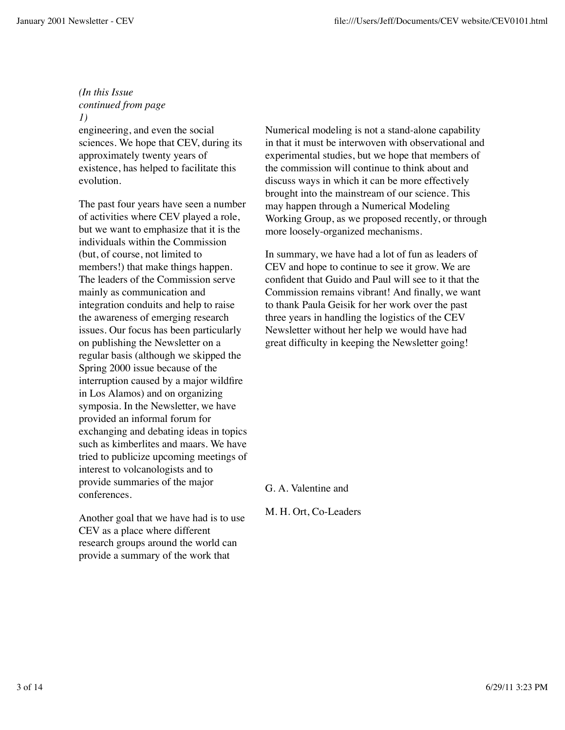# *(In this Issue continued from page*

#### *1)*

engineering, and even the social sciences. We hope that CEV, during its approximately twenty years of existence, has helped to facilitate this evolution.

The past four years have seen a number of activities where CEV played a role, but we want to emphasize that it is the individuals within the Commission (but, of course, not limited to members!) that make things happen. The leaders of the Commission serve mainly as communication and integration conduits and help to raise the awareness of emerging research issues. Our focus has been particularly on publishing the Newsletter on a regular basis (although we skipped the Spring 2000 issue because of the interruption caused by a major wildfire in Los Alamos) and on organizing symposia. In the Newsletter, we have provided an informal forum for exchanging and debating ideas in topics such as kimberlites and maars. We have tried to publicize upcoming meetings of interest to volcanologists and to provide summaries of the major conferences.

Another goal that we have had is to use CEV as a place where different research groups around the world can provide a summary of the work that

Numerical modeling is not a stand-alone capability in that it must be interwoven with observational and experimental studies, but we hope that members of the commission will continue to think about and discuss ways in which it can be more effectively brought into the mainstream of our science. This may happen through a Numerical Modeling Working Group, as we proposed recently, or through more loosely-organized mechanisms.

In summary, we have had a lot of fun as leaders of CEV and hope to continue to see it grow. We are confident that Guido and Paul will see to it that the Commission remains vibrant! And finally, we want to thank Paula Geisik for her work over the past three years in handling the logistics of the CEV Newsletter without her help we would have had great difficulty in keeping the Newsletter going!

G. A. Valentine and

M. H. Ort, Co-Leaders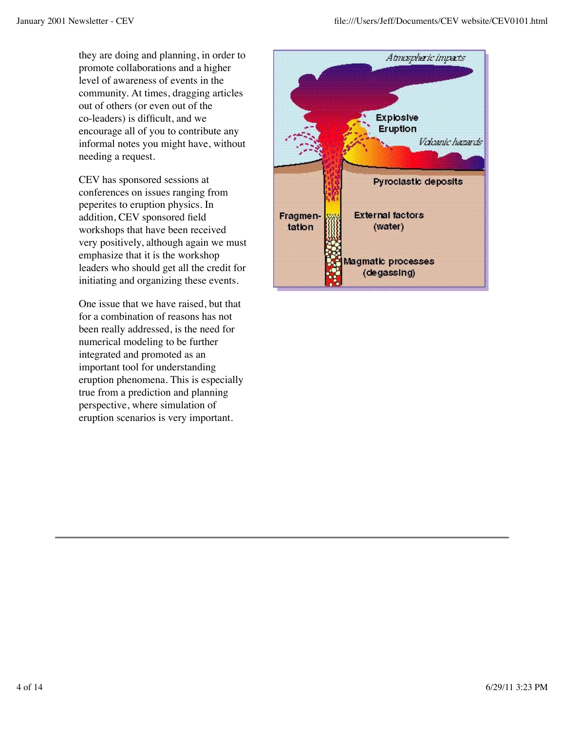they are doing and planning, in order to promote collaborations and a higher level of awareness of events in the community. At times, dragging articles out of others (or even out of the co-leaders) is difficult, and we encourage all of you to contribute any informal notes you might have, without needing a request.

CEV has sponsored sessions at conferences on issues ranging from peperites to eruption physics. In addition, CEV sponsored field workshops that have been received very positively, although again we must emphasize that it is the workshop leaders who should get all the credit for initiating and organizing these events.

One issue that we have raised, but that for a combination of reasons has not been really addressed, is the need for numerical modeling to be further integrated and promoted as an important tool for understanding eruption phenomena. This is especially true from a prediction and planning perspective, where simulation of eruption scenarios is very important.

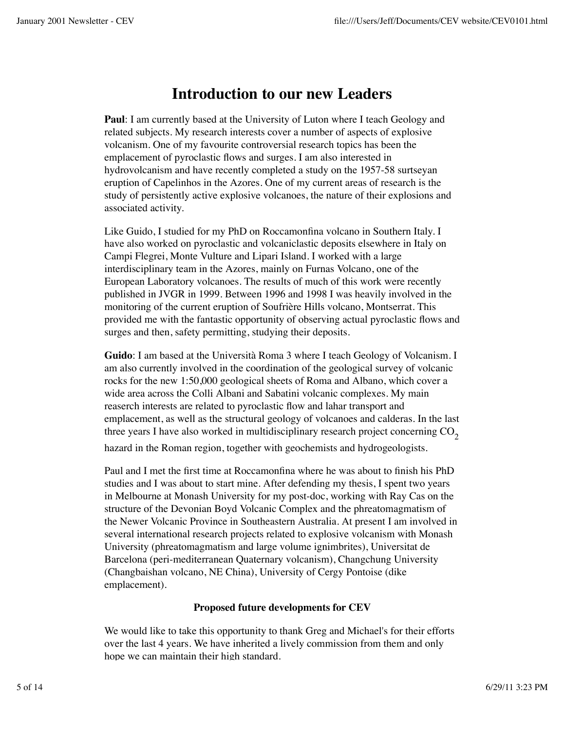# **Introduction to our new Leaders**

**Paul**: I am currently based at the University of Luton where I teach Geology and related subjects. My research interests cover a number of aspects of explosive volcanism. One of my favourite controversial research topics has been the emplacement of pyroclastic flows and surges. I am also interested in hydrovolcanism and have recently completed a study on the 1957-58 surtseyan eruption of Capelinhos in the Azores. One of my current areas of research is the study of persistently active explosive volcanoes, the nature of their explosions and associated activity.

Like Guido, I studied for my PhD on Roccamonfina volcano in Southern Italy. I have also worked on pyroclastic and volcaniclastic deposits elsewhere in Italy on Campi Flegrei, Monte Vulture and Lipari Island. I worked with a large interdisciplinary team in the Azores, mainly on Furnas Volcano, one of the European Laboratory volcanoes. The results of much of this work were recently published in JVGR in 1999. Between 1996 and 1998 I was heavily involved in the monitoring of the current eruption of Soufrière Hills volcano, Montserrat. This provided me with the fantastic opportunity of observing actual pyroclastic flows and surges and then, safety permitting, studying their deposits.

**Guido**: I am based at the Università Roma 3 where I teach Geology of Volcanism. I am also currently involved in the coordination of the geological survey of volcanic rocks for the new 1:50,000 geological sheets of Roma and Albano, which cover a wide area across the Colli Albani and Sabatini volcanic complexes. My main reaserch interests are related to pyroclastic flow and lahar transport and emplacement, as well as the structural geology of volcanoes and calderas. In the last three years I have also worked in multidisciplinary research project concerning  $CO<sub>2</sub>$ 

hazard in the Roman region, together with geochemists and hydrogeologists.

Paul and I met the first time at Roccamonfina where he was about to finish his PhD studies and I was about to start mine. After defending my thesis, I spent two years in Melbourne at Monash University for my post-doc, working with Ray Cas on the structure of the Devonian Boyd Volcanic Complex and the phreatomagmatism of the Newer Volcanic Province in Southeastern Australia. At present I am involved in several international research projects related to explosive volcanism with Monash University (phreatomagmatism and large volume ignimbrites), Universitat de Barcelona (peri-mediterranean Quaternary volcanism), Changchung University (Changbaishan volcano, NE China), University of Cergy Pontoise (dike emplacement).

# **Proposed future developments for CEV**

We would like to take this opportunity to thank Greg and Michael's for their efforts over the last 4 years. We have inherited a lively commission from them and only hope we can maintain their high standard.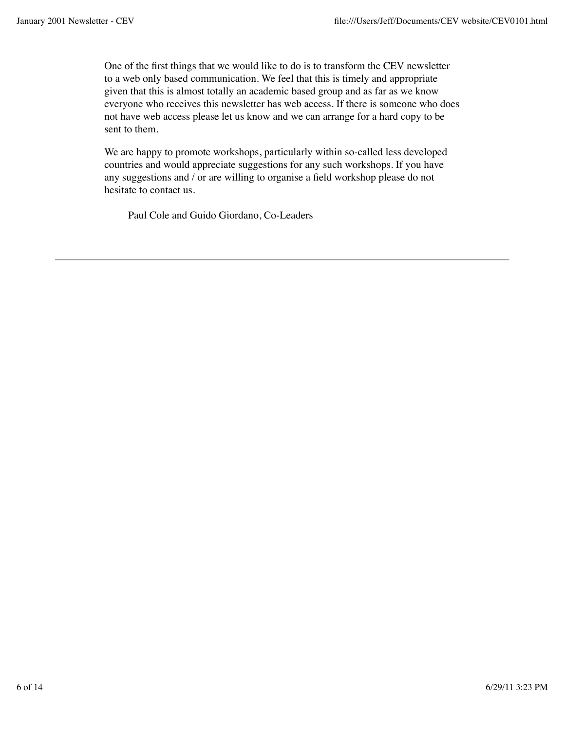One of the first things that we would like to do is to transform the CEV newsletter to a web only based communication. We feel that this is timely and appropriate given that this is almost totally an academic based group and as far as we know everyone who receives this newsletter has web access. If there is someone who does not have web access please let us know and we can arrange for a hard copy to be sent to them.

We are happy to promote workshops, particularly within so-called less developed countries and would appreciate suggestions for any such workshops. If you have any suggestions and / or are willing to organise a field workshop please do not hesitate to contact us.

Paul Cole and Guido Giordano, Co-Leaders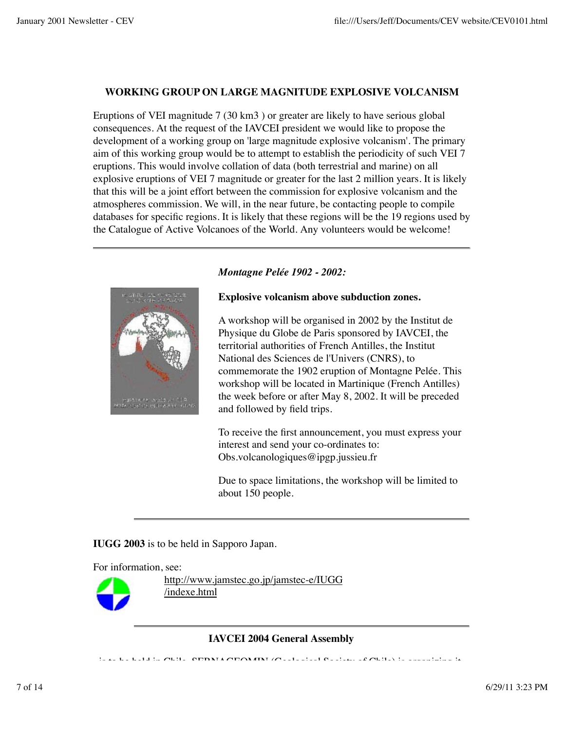### **WORKING GROUP ON LARGE MAGNITUDE EXPLOSIVE VOLCANISM**

Eruptions of VEI magnitude 7 (30 km3 ) or greater are likely to have serious global consequences. At the request of the IAVCEI president we would like to propose the development of a working group on 'large magnitude explosive volcanism'. The primary aim of this working group would be to attempt to establish the periodicity of such VEI 7 eruptions. This would involve collation of data (both terrestrial and marine) on all explosive eruptions of VEI 7 magnitude or greater for the last 2 million years. It is likely that this will be a joint effort between the commission for explosive volcanism and the atmospheres commission. We will, in the near future, be contacting people to compile databases for specific regions. It is likely that these regions will be the 19 regions used by the Catalogue of Active Volcanoes of the World. Any volunteers would be welcome!



## *Montagne Pelée 1902 - 2002:*

#### **Explosive volcanism above subduction zones.**

A workshop will be organised in 2002 by the Institut de Physique du Globe de Paris sponsored by IAVCEI, the territorial authorities of French Antilles, the Institut National des Sciences de l'Univers (CNRS), to commemorate the 1902 eruption of Montagne Pelée. This workshop will be located in Martinique (French Antilles) the week before or after May 8, 2002. It will be preceded and followed by field trips.

To receive the first announcement, you must express your interest and send your co-ordinates to: Obs.volcanologiques@ipgp.jussieu.fr

Due to space limitations, the workshop will be limited to about 150 people.

**IUGG 2003** is to be held in Sapporo Japan.

For information, see:



http://www.jamstec.go.jp/jamstec-e/IUGG /indexe.html

**IAVCEI 2004 General Assembly**

is to be the chile. Served in Chile. Section  $\mathcal{L}_{\mathcal{A}}$  is organizing it. It is organizing it. It is organizing it.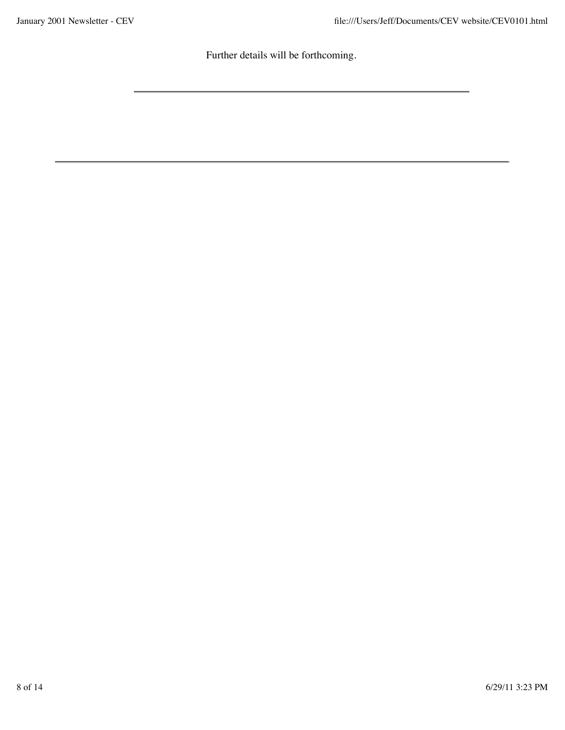Further details will be forthcoming.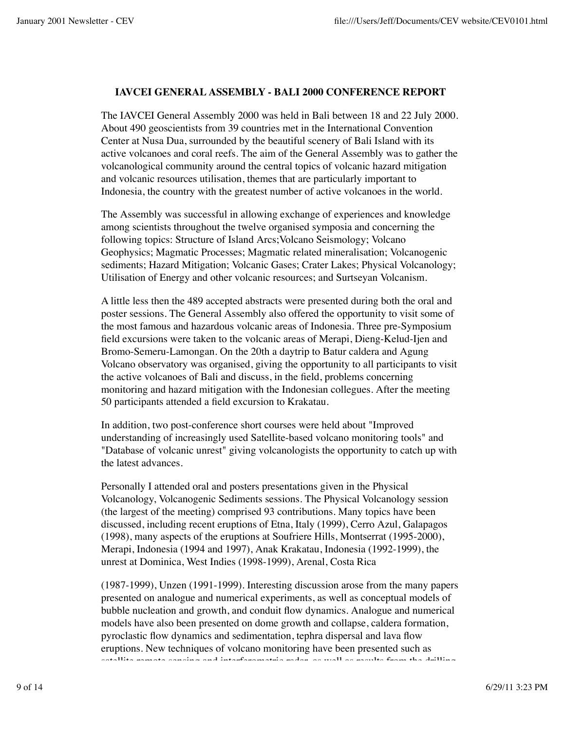#### **IAVCEI GENERAL ASSEMBLY - BALI 2000 CONFERENCE REPORT**

The IAVCEI General Assembly 2000 was held in Bali between 18 and 22 July 2000. About 490 geoscientists from 39 countries met in the International Convention Center at Nusa Dua, surrounded by the beautiful scenery of Bali Island with its active volcanoes and coral reefs. The aim of the General Assembly was to gather the volcanological community around the central topics of volcanic hazard mitigation and volcanic resources utilisation, themes that are particularly important to Indonesia, the country with the greatest number of active volcanoes in the world.

The Assembly was successful in allowing exchange of experiences and knowledge among scientists throughout the twelve organised symposia and concerning the following topics: Structure of Island Arcs;Volcano Seismology; Volcano Geophysics; Magmatic Processes; Magmatic related mineralisation; Volcanogenic sediments; Hazard Mitigation; Volcanic Gases; Crater Lakes; Physical Volcanology; Utilisation of Energy and other volcanic resources; and Surtseyan Volcanism.

A little less then the 489 accepted abstracts were presented during both the oral and poster sessions. The General Assembly also offered the opportunity to visit some of the most famous and hazardous volcanic areas of Indonesia. Three pre-Symposium field excursions were taken to the volcanic areas of Merapi, Dieng-Kelud-Ijen and Bromo-Semeru-Lamongan. On the 20th a daytrip to Batur caldera and Agung Volcano observatory was organised, giving the opportunity to all participants to visit the active volcanoes of Bali and discuss, in the field, problems concerning monitoring and hazard mitigation with the Indonesian collegues. After the meeting 50 participants attended a field excursion to Krakatau.

In addition, two post-conference short courses were held about "Improved understanding of increasingly used Satellite-based volcano monitoring tools" and "Database of volcanic unrest" giving volcanologists the opportunity to catch up with the latest advances.

Personally I attended oral and posters presentations given in the Physical Volcanology, Volcanogenic Sediments sessions. The Physical Volcanology session (the largest of the meeting) comprised 93 contributions. Many topics have been discussed, including recent eruptions of Etna, Italy (1999), Cerro Azul, Galapagos (1998), many aspects of the eruptions at Soufriere Hills, Montserrat (1995-2000), Merapi, Indonesia (1994 and 1997), Anak Krakatau, Indonesia (1992-1999), the unrest at Dominica, West Indies (1998-1999), Arenal, Costa Rica

(1987-1999), Unzen (1991-1999). Interesting discussion arose from the many papers presented on analogue and numerical experiments, as well as conceptual models of bubble nucleation and growth, and conduit flow dynamics. Analogue and numerical models have also been presented on dome growth and collapse, caldera formation, pyroclastic flow dynamics and sedimentation, tephra dispersal and lava flow eruptions. New techniques of volcano monitoring have been presented such as satellite remote sensing and interferometric radar, as well as results from the drilling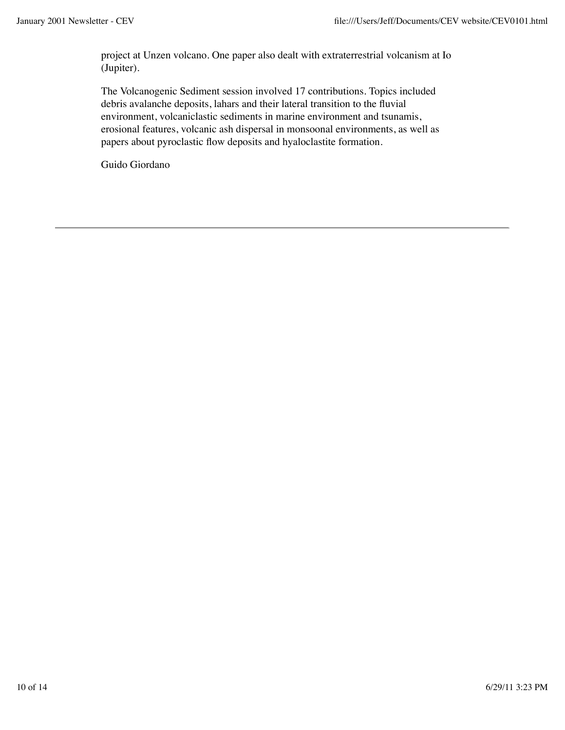project at Unzen volcano. One paper also dealt with extraterrestrial volcanism at Io (Jupiter).

The Volcanogenic Sediment session involved 17 contributions. Topics included debris avalanche deposits, lahars and their lateral transition to the fluvial environment, volcaniclastic sediments in marine environment and tsunamis, erosional features, volcanic ash dispersal in monsoonal environments, as well as papers about pyroclastic flow deposits and hyaloclastite formation.

Guido Giordano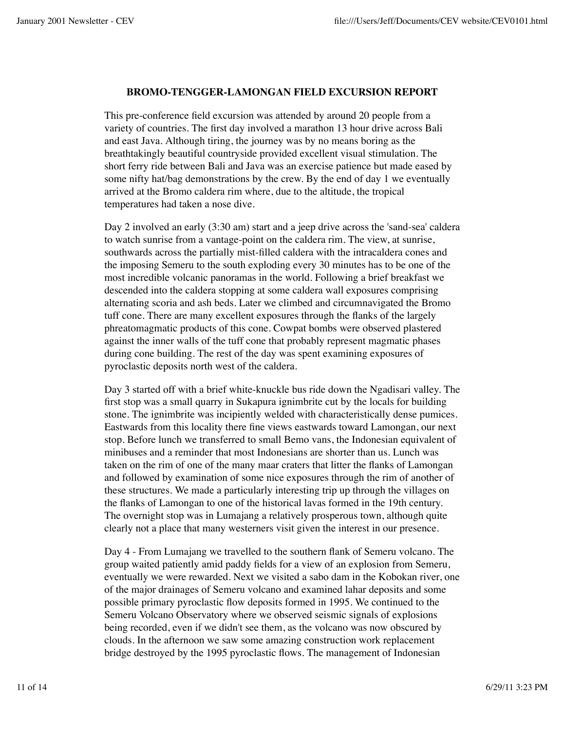#### **BROMO-TENGGER-LAMONGAN FIELD EXCURSION REPORT**

This pre-conference field excursion was attended by around 20 people from a variety of countries. The first day involved a marathon 13 hour drive across Bali and east Java. Although tiring, the journey was by no means boring as the breathtakingly beautiful countryside provided excellent visual stimulation. The short ferry ride between Bali and Java was an exercise patience but made eased by some nifty hat/bag demonstrations by the crew. By the end of day 1 we eventually arrived at the Bromo caldera rim where, due to the altitude, the tropical temperatures had taken a nose dive.

Day 2 involved an early (3:30 am) start and a jeep drive across the 'sand-sea' caldera to watch sunrise from a vantage-point on the caldera rim. The view, at sunrise, southwards across the partially mist-filled caldera with the intracaldera cones and the imposing Semeru to the south exploding every 30 minutes has to be one of the most incredible volcanic panoramas in the world. Following a brief breakfast we descended into the caldera stopping at some caldera wall exposures comprising alternating scoria and ash beds. Later we climbed and circumnavigated the Bromo tuff cone. There are many excellent exposures through the flanks of the largely phreatomagmatic products of this cone. Cowpat bombs were observed plastered against the inner walls of the tuff cone that probably represent magmatic phases during cone building. The rest of the day was spent examining exposures of pyroclastic deposits north west of the caldera.

Day 3 started off with a brief white-knuckle bus ride down the Ngadisari valley. The first stop was a small quarry in Sukapura ignimbrite cut by the locals for building stone. The ignimbrite was incipiently welded with characteristically dense pumices. Eastwards from this locality there fine views eastwards toward Lamongan, our next stop. Before lunch we transferred to small Bemo vans, the Indonesian equivalent of minibuses and a reminder that most Indonesians are shorter than us. Lunch was taken on the rim of one of the many maar craters that litter the flanks of Lamongan and followed by examination of some nice exposures through the rim of another of these structures. We made a particularly interesting trip up through the villages on the flanks of Lamongan to one of the historical lavas formed in the 19th century. The overnight stop was in Lumajang a relatively prosperous town, although quite clearly not a place that many westerners visit given the interest in our presence.

Day 4 - From Lumajang we travelled to the southern flank of Semeru volcano. The group waited patiently amid paddy fields for a view of an explosion from Semeru, eventually we were rewarded. Next we visited a sabo dam in the Kobokan river, one of the major drainages of Semeru volcano and examined lahar deposits and some possible primary pyroclastic flow deposits formed in 1995. We continued to the Semeru Volcano Observatory where we observed seismic signals of explosions being recorded, even if we didn't see them, as the volcano was now obscured by clouds. In the afternoon we saw some amazing construction work replacement bridge destroyed by the 1995 pyroclastic flows. The management of Indonesian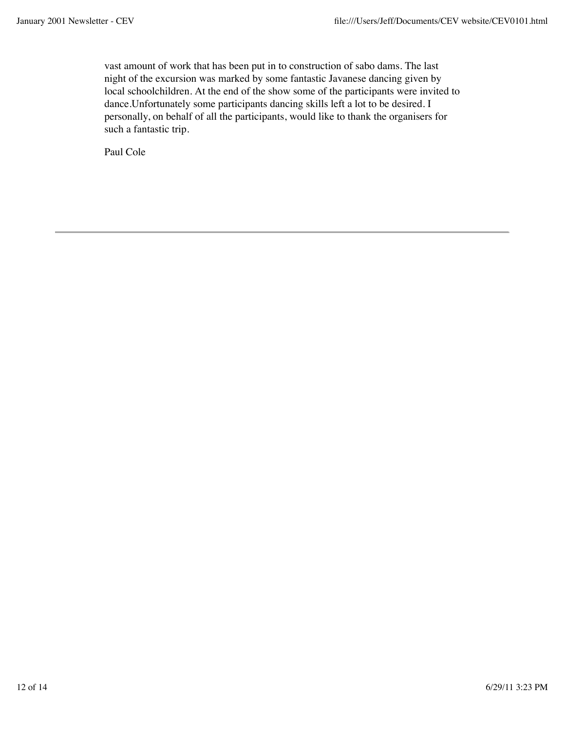vast amount of work that has been put in to construction of sabo dams. The last night of the excursion was marked by some fantastic Javanese dancing given by local schoolchildren. At the end of the show some of the participants were invited to dance.Unfortunately some participants dancing skills left a lot to be desired. I personally, on behalf of all the participants, would like to thank the organisers for such a fantastic trip.

Paul Cole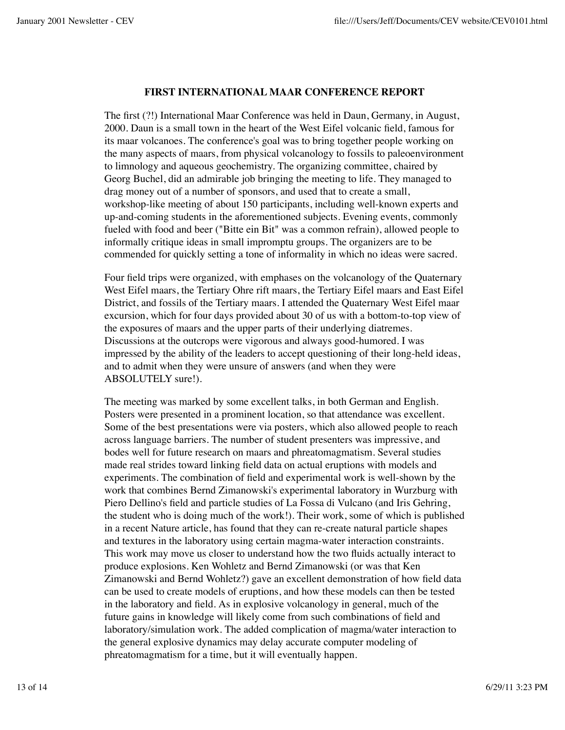#### **FIRST INTERNATIONAL MAAR CONFERENCE REPORT**

The first (?!) International Maar Conference was held in Daun, Germany, in August, 2000. Daun is a small town in the heart of the West Eifel volcanic field, famous for its maar volcanoes. The conference's goal was to bring together people working on the many aspects of maars, from physical volcanology to fossils to paleoenvironment to limnology and aqueous geochemistry. The organizing committee, chaired by Georg Buchel, did an admirable job bringing the meeting to life. They managed to drag money out of a number of sponsors, and used that to create a small, workshop-like meeting of about 150 participants, including well-known experts and up-and-coming students in the aforementioned subjects. Evening events, commonly fueled with food and beer ("Bitte ein Bit" was a common refrain), allowed people to informally critique ideas in small impromptu groups. The organizers are to be commended for quickly setting a tone of informality in which no ideas were sacred.

Four field trips were organized, with emphases on the volcanology of the Quaternary West Eifel maars, the Tertiary Ohre rift maars, the Tertiary Eifel maars and East Eifel District, and fossils of the Tertiary maars. I attended the Quaternary West Eifel maar excursion, which for four days provided about 30 of us with a bottom-to-top view of the exposures of maars and the upper parts of their underlying diatremes. Discussions at the outcrops were vigorous and always good-humored. I was impressed by the ability of the leaders to accept questioning of their long-held ideas, and to admit when they were unsure of answers (and when they were ABSOLUTELY sure!).

The meeting was marked by some excellent talks, in both German and English. Posters were presented in a prominent location, so that attendance was excellent. Some of the best presentations were via posters, which also allowed people to reach across language barriers. The number of student presenters was impressive, and bodes well for future research on maars and phreatomagmatism. Several studies made real strides toward linking field data on actual eruptions with models and experiments. The combination of field and experimental work is well-shown by the work that combines Bernd Zimanowski's experimental laboratory in Wurzburg with Piero Dellino's field and particle studies of La Fossa di Vulcano (and Iris Gehring, the student who is doing much of the work!). Their work, some of which is published in a recent Nature article, has found that they can re-create natural particle shapes and textures in the laboratory using certain magma-water interaction constraints. This work may move us closer to understand how the two fluids actually interact to produce explosions. Ken Wohletz and Bernd Zimanowski (or was that Ken Zimanowski and Bernd Wohletz?) gave an excellent demonstration of how field data can be used to create models of eruptions, and how these models can then be tested in the laboratory and field. As in explosive volcanology in general, much of the future gains in knowledge will likely come from such combinations of field and laboratory/simulation work. The added complication of magma/water interaction to the general explosive dynamics may delay accurate computer modeling of phreatomagmatism for a time, but it will eventually happen.